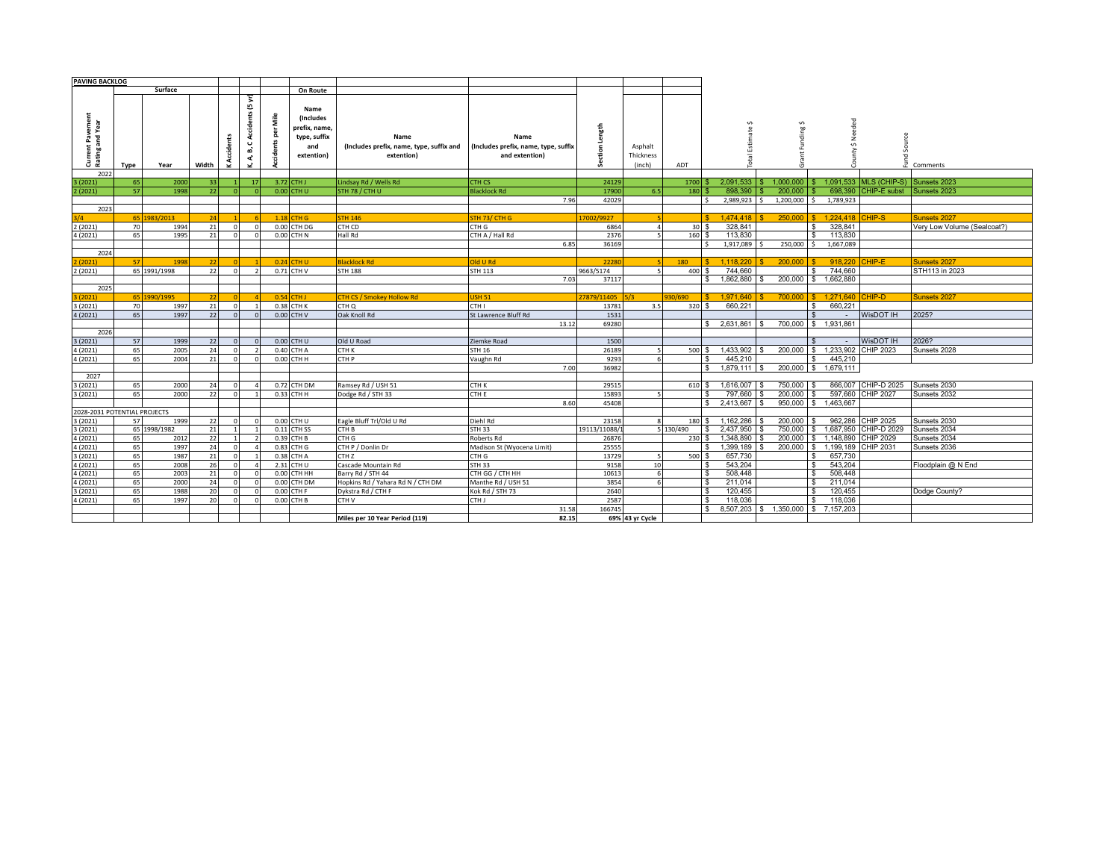| <b>PAVING BACKLOG</b>        |      |              |                 |                       |                 |           |                                    |                                                                |                                                                |              |                      |           |                       |                 |                           |                                     |                             |
|------------------------------|------|--------------|-----------------|-----------------------|-----------------|-----------|------------------------------------|----------------------------------------------------------------|----------------------------------------------------------------|--------------|----------------------|-----------|-----------------------|-----------------|---------------------------|-------------------------------------|-----------------------------|
|                              |      | Surface      |                 |                       |                 |           | On Route                           |                                                                |                                                                |              |                      |           |                       |                 |                           |                                     |                             |
| it Pavement<br>and Year      |      |              |                 |                       | Accidents (5 yr | Mile<br>힕 | Name<br>(Includes<br>prefix, name, |                                                                |                                                                | ngth         |                      |           |                       | ∽               | Needed                    |                                     |                             |
| fent<br>Current<br>Rating a  |      |              |                 | ents<br><b>Accide</b> | ت<br>മ്<br>ረ    |           | type, suffix<br>and<br>extention)  | Name<br>(Includes prefix, name, type, suffix and<br>extention) | Name<br>(Includes prefix, name, type, suffix<br>and extention) | å            | Asphalt<br>Thickness |           |                       | inding:<br>п,   | $\mathbf{v}$              | Source                              |                             |
| 2022                         | Type | Year         | Width           |                       | ت               |           |                                    |                                                                |                                                                | Ü            | (inch)               | ADT       |                       |                 |                           |                                     | Comments                    |
| (2021)                       | 65   | 2000         | 33 <sup>1</sup> |                       | 17 <sup>1</sup> |           | 3.72 CTH J                         | Lindsay Rd / Wells Rd                                          | CTH CS                                                         | 24129        |                      | 1700      | 2.091.533             | 1.000.000       |                           | 1.091.533 MLS (CHIP-S) Sunsets 2023 |                             |
| 2(2021)                      | 57   | 1998         | 22              |                       |                 |           | 0.00 CTH U                         | STH 78 / CTH U                                                 | <b>Blacklock Rd</b>                                            | 17900        | 6.5                  | 180       | 898,390               | 200,000         | 698,390                   | CHIP-E subst                        | Sunsets 2023                |
|                              |      |              |                 |                       |                 |           |                                    |                                                                | 7.96                                                           | 42029        |                      |           | 2,989,923<br>Ŝ.       | 1,200,000<br>\$ | 1,789,923<br>-S           |                                     |                             |
| 2023                         |      |              |                 |                       |                 |           |                                    |                                                                |                                                                |              |                      |           |                       |                 |                           |                                     |                             |
|                              |      | 65 1983/2013 | 24              |                       |                 |           | $1.18$ CTH G                       | <b>STH 146</b>                                                 | STH 73/ CTH G                                                  | 17002/9927   |                      |           | 1.474.418             |                 | 250,000 \$ 1.224.418      | CHIP-S                              | Sunsets 2027                |
| 2(2021)                      | 70   | 1994         | 21              | $\Omega$              | $\Omega$        |           | 0.00 CTH DG                        | CTH CD                                                         | CTH G                                                          | 6864         | $\overline{4}$       | 30S       | 328.841               |                 | 328,841                   |                                     | Very Low Volume (Sealcoat?) |
| 4 (2021)                     | 65   | 1995         | 21              |                       |                 |           | 0.00 CTH N                         | Hall Rd                                                        | CTH A / Hall Rd                                                | 2376         |                      | 160       | 113,830               |                 | 113,830                   |                                     |                             |
|                              |      |              |                 |                       |                 |           |                                    |                                                                | 6.85                                                           | 36169        |                      |           | 1.917.089<br>¢        | 250,000 \$      | 1.667.089                 |                                     |                             |
| 2024                         |      |              |                 |                       |                 |           |                                    |                                                                |                                                                |              |                      |           |                       |                 |                           |                                     |                             |
| (2021)                       | 57   | 199          | 22              |                       |                 |           | $0.24$ CTH U                       | <b>Blacklock Rd</b>                                            | <b>Old U Rd</b>                                                | 22280        |                      | 180       | 1.118.220             | 200.000         | 918.220                   | CHIP-E                              | Sunsets 2027                |
| 2 (2021)                     |      | 65 1991/1998 | 22              |                       |                 |           | 0.71 CTH V                         | <b>STH 188</b>                                                 | <b>STH 113</b>                                                 | 9663/5174    |                      | 400       | 744.660               |                 | 744,660                   |                                     | STH113 in 2023              |
|                              |      |              |                 |                       |                 |           |                                    |                                                                | 7.03                                                           | 37117        |                      |           | 1.862.880<br>\$       | 200,000         | \$ 1,662,880              |                                     |                             |
| 2025                         |      |              |                 |                       |                 |           |                                    |                                                                |                                                                |              |                      |           |                       |                 |                           |                                     |                             |
| (2021)                       |      | 65 1990/1995 | 22              |                       |                 |           | 0.54 CTH J                         | <b>CTH CS / Smokey Hollow Rd</b>                               | <b>USH 51</b>                                                  | 27879/11405  |                      | 30/690    | 1.971.640             |                 | 700,000 S 1.271,640       | <b>CHIP-D</b>                       | Sunsets 2027                |
| 3 (2021)                     | 70   | 1997         | 21              | $\Omega$              |                 |           | 0.38 CTH K                         | CTH Q                                                          | CTH I                                                          | 13781        | 3.5                  | 320       | 660.221<br>£.         |                 | 660.221                   |                                     |                             |
| 4 (2021)                     | 65   | 1997         | 22              |                       |                 |           | 0.00 CTH V                         | Oak Knoll Rd                                                   | St Lawrence Bluff Rd                                           | 1531         |                      |           |                       |                 |                           | WisDOT IH                           | 2025?                       |
|                              |      |              |                 |                       |                 |           |                                    |                                                                | 13.12                                                          | 69280        |                      |           | 2.631.861<br>\$       |                 | 700,000 \$ 1,931,861      |                                     |                             |
| 2026                         |      |              |                 |                       |                 |           |                                    |                                                                |                                                                |              |                      |           |                       |                 |                           |                                     |                             |
| 3(2021)                      | 57   | 1999         | 22              |                       |                 |           | 0.00 CTH U                         | Old U Road                                                     | Ziemke Road                                                    | 1500         |                      |           |                       |                 |                           | WisDOT IH                           | 2026?                       |
| 4 (2021)                     | 65   | 2005         | 24              |                       |                 |           | 0.40 CTH A                         | CTH K                                                          | <b>STH 16</b>                                                  | 26189        |                      | 500       | 1.433.902<br>\$.      | 200,000 \$      | 1.233.902                 | <b>CHIP 2023</b>                    | Sunsets 2028                |
| 4 (2021)                     | 65   | 2004         | 21              |                       |                 |           | 0.00 CTH H                         | CTH P                                                          | Vaughn Rd                                                      | 9293         |                      |           | 445.210               |                 | 445.210                   |                                     |                             |
| 2027                         |      |              |                 |                       |                 |           |                                    |                                                                | 7.00                                                           | 36982        |                      |           | $1.879.111$ \\$<br>\$ | 200,000 \$      | 1.679.111                 |                                     |                             |
| (2021)                       | 65   | 2000         | 24              |                       |                 |           | 0.72 CTH DM                        | Ramsey Rd / USH 51                                             | CTH K                                                          | 29515        |                      | 610 \$    | 1.616.007             | 750,000         | 866,007                   | CHIP-D 2025                         | Sunsets 2030                |
| 3(2021)                      | 65   | 2000         | 22              |                       |                 |           | 0.33 CTH H                         | Dodge Rd / STH 33                                              | CTH E                                                          | 15893        |                      |           | 797.660               | 200,000         | 597,660                   | <b>CHIP 2027</b>                    | Sunsets 2032                |
|                              |      |              |                 |                       |                 |           |                                    |                                                                | 8.60                                                           | 45408        |                      |           | 2.413.667<br>\$       | 950,000         | 1.463.667<br>IS.          |                                     |                             |
| 2028-2031 POTENTIAL PROJECTS |      |              |                 |                       |                 |           |                                    |                                                                |                                                                |              |                      |           |                       |                 |                           |                                     |                             |
| 3 (2021)                     | 57   | 1999         | 22              | $\Omega$              | $\Omega$        |           | 0.00 CTH U                         | Eagle Bluff Trl/Old U Rd                                       | Diehl Rd                                                       | 23158        | 8                    | 180       | 1,162,286<br>\$.      | 200,000         | 962,286                   | <b>CHIP 2025</b>                    | Sunsets 2030                |
| 3 (2021)                     |      | 65 1998/1982 | 21              |                       |                 |           | 0.11 CTH SS                        | CTH B                                                          | <b>STH 33</b>                                                  | 19113/11088/ |                      | 5 130/490 | 2.437.950             | 750,000         | 1.687.950                 | CHIP-D 2029                         | Sunsets 2034                |
| 4 (2021)                     | 65   | 2012         | 22              |                       |                 |           | 0.39 CTH B                         | CTH G                                                          | Roberts Rd                                                     | 26876        |                      | 230       | 1.348.890<br>\$.      | 200,000         | \$1.148.890               | CHIP 2029                           | Sunsets 2034                |
| 4 (2021)                     | 65   | 1997         | 24              |                       |                 |           | 0.83 CTH G                         | CTH P / Donlin Dr                                              | Madison St (Wyocena Limit)                                     | 25555        |                      |           | 1,399,189<br>\$       | 200,000         | \$1,199,189               | CHIP 2031                           | Sunsets 2036                |
| 3(2021)                      | 65   | 1987         | 21              | $\Omega$              |                 |           | 0.38 CTH A                         | CTH <sub>Z</sub>                                               | CTH G                                                          | 13729        | <b>S</b>             | 500       | 657.730<br>£.         |                 | 657.730                   |                                     |                             |
| 4 (2021)                     | 65   | 2008         | 26              | $\Omega$              |                 |           | 2.31 CTH U                         | Cascade Mountain Rd                                            | <b>STH 33</b>                                                  | 9158         | 10                   |           | 543.204<br>\$.        |                 | 543.204                   |                                     | Floodplain @ N End          |
| 4 (2021)                     | 65   | 2003         | 21              |                       |                 |           | 0.00 CTH HH                        | Barry Rd / STH 44                                              | CTH GG / CTH HH                                                | 10613        |                      |           | 508.448<br>\$         |                 | 508.448                   |                                     |                             |
| 4 (2021)                     | 65   | 2000         | 24              |                       |                 |           | 0.00 CTH DM                        | Hopkins Rd / Yahara Rd N / CTH DM                              | Manthe Rd / USH 51                                             | 3854         |                      |           | \$<br>211.014         |                 | 211.014                   |                                     |                             |
| (2021)                       | 65   | 1988         | 20              |                       |                 |           | 0.00 CTH F                         | Dykstra Rd / CTH F                                             | Kok Rd / STH 73                                                | 2640         |                      |           | 120.455<br>\$         |                 | 120.455                   |                                     | Dodge County?               |
| 4 (2021)                     | 65   | 1997         | 20              |                       |                 |           | 0.00 CTH B                         | CTH V                                                          | CTH J                                                          | 2587         |                      |           | 118,036<br>\$.        |                 | 118.036                   |                                     |                             |
|                              |      |              |                 |                       |                 |           |                                    |                                                                | 31.58                                                          | 166745       |                      |           | 8.507.203<br>\$       | 1.350.000       | 7.157.203<br>$\mathbf{s}$ |                                     |                             |
|                              |      |              |                 |                       |                 |           |                                    | Miles per 10 Year Period (119)                                 | 82.15                                                          |              | 69% 43 yr Cycle      |           |                       |                 |                           |                                     |                             |